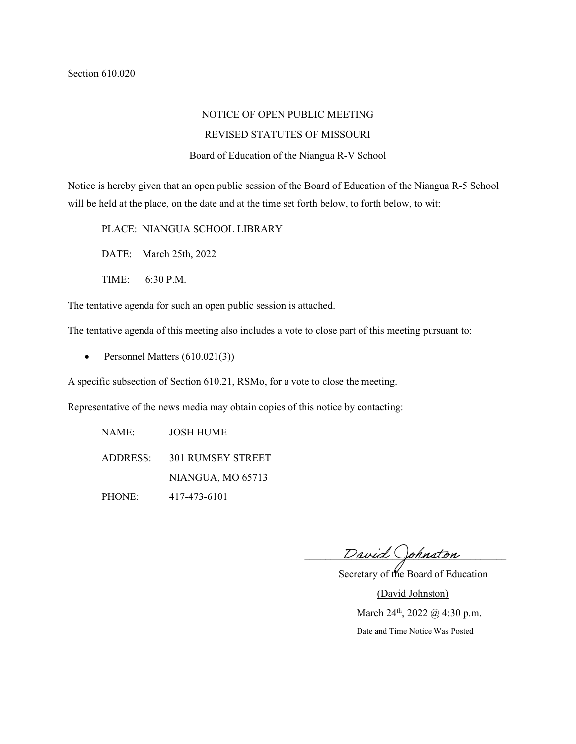# NOTICE OF OPEN PUBLIC MEETING

# REVISED STATUTES OF MISSOURI

#### Board of Education of the Niangua R-V School

Notice is hereby given that an open public session of the Board of Education of the Niangua R-5 School will be held at the place, on the date and at the time set forth below, to forth below, to wit:

PLACE: NIANGUA SCHOOL LIBRARY

DATE: March 25th, 2022

TIME: 6:30 P.M.

The tentative agenda for such an open public session is attached.

The tentative agenda of this meeting also includes a vote to close part of this meeting pursuant to:

• Personnel Matters (610.021(3))

A specific subsection of Section 610.21, RSMo, for a vote to close the meeting.

Representative of the news media may obtain copies of this notice by contacting:

NAME: JOSH HUME ADDRESS: 301 RUMSEY STREET NIANGUA, MO 65713 PHONE: 417-473-6101

David Johnston

 Secretary of the Board of Education (David Johnston) March 24<sup>th</sup>, 2022 @ 4:30 p.m.

Date and Time Notice Was Posted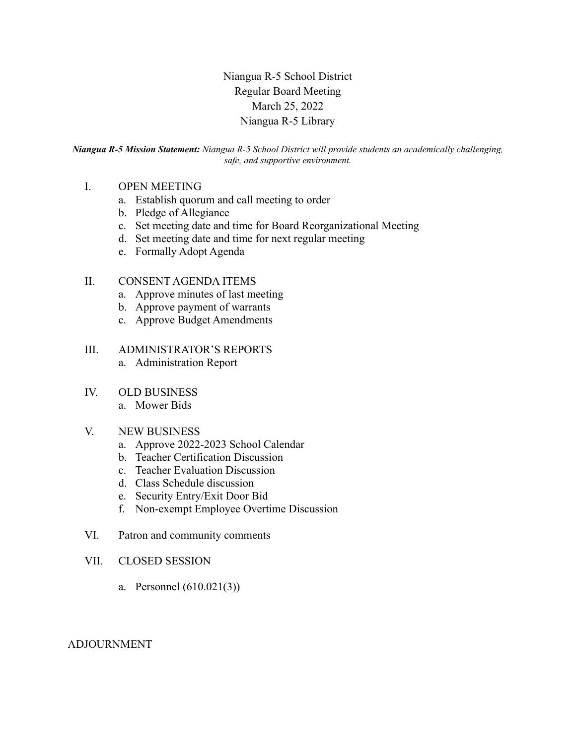Niangua R-5 School District Regular Board Meeting March 25, 2022 Niangua R-5 Library

*Niangua R-5 Mission Statement: Niangua R-5 School District will provide students an academically challenging, safe, and supportive environment.*

# I. OPEN MEETING

- a. Establish quorum and call meeting to order
- b. Pledge of Allegiance
- c. Set meeting date and time for Board Reorganizational Meeting
- d. Set meeting date and time for next regular meeting
- e. Formally Adopt Agenda

### II. CONSENT AGENDA ITEMS

- a. Approve minutes of last meeting
- b. Approve payment of warrants
- c. Approve Budget Amendments

#### III. ADMINISTRATOR'S REPORTS

a. Administration Report

#### IV. OLD BUSINESS

a. Mower Bids

#### V. NEW BUSINESS

- a. Approve 2022-2023 School Calendar
- b. Teacher Certification Discussion
- c. Teacher Evaluation Discussion
- d. Class Schedule discussion
- e. Security Entry/Exit Door Bid
- f. Non-exempt Employee Overtime Discussion
- VI. Patron and community comments
- VII. CLOSED SESSION
	- a. Personnel (610.021(3))

#### ADJOURNMENT